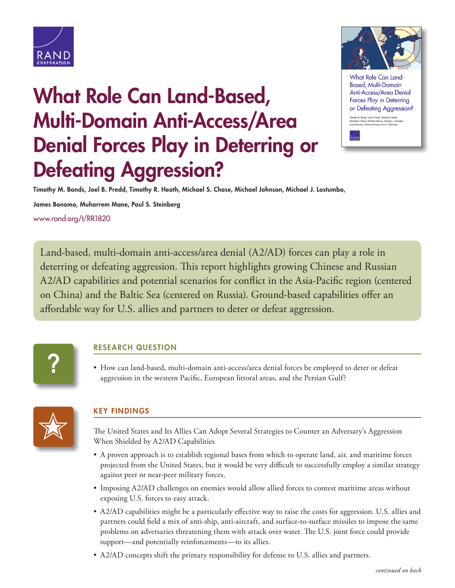

## **What Role Can Land-Based, Multi-Domain Anti-Access/Area Denial Forces Play in Deterring or Defeating Aggression?**



What Role Can Land **Based, Multi-Domain** Anti-Access/Area Denial Forces Play in Deterring or Defeating Aggression?

othy M. Bonds, Joel B. Predd, Timothy R. Heath,<br>:hael S. Chase, Michael Johnson, Michael J. Los

**Timothy M. Bonds, Joel B. Predd, Timothy R. Heath, Michael S. Chase, Michael Johnson, Michael J. Lostumbo,** 

**James Bonomo, Muharrem Mane, Paul S. Steinberg**

[www.rand.org/t/RR1820](http://www.rand.org/t/RR1820)

Land-based, multi-domain anti-access/area denial (A2/AD) forces can play a role in deterring or defeating aggression. This report highlights growing Chinese and Russian A2/AD capabilities and potential scenarios for conflict in the Asia-Pacific region (centered on China) and the Baltic Sea (centered on Russia). Ground-based capabilities offer an affordable way for U.S. allies and partners to deter or defeat aggression.

# **?**

#### **RESEARCH QUESTION**

• How can land-based, multi-domain anti-access/area denial forces be employed to deter or defeat aggression in the western Pacific, European littoral areas, and the Persian Gulf?



#### **KEY FINDINGS**

The United States and Its Allies Can Adopt Several Strategies to Counter an Adversary's Aggression When Shielded by A2/AD Capabilities

- A proven approach is to establish regional bases from which to operate land, air, and maritime forces projected from the United States, but it would be very difficult to successfully employ a similar strategy against peer or near-peer military forces.
- Imposing A2/AD challenges on enemies would allow allied forces to contest maritime areas without exposing U.S. forces to easy attack.
- A2/AD capabilities might be a particularly effective way to raise the costs for aggression. U.S. allies and partners could field a mix of anti-ship, anti-aircraft, and surface-to-surface missiles to impose the same problems on adversaries threatening them with attack over water. The U.S. joint force could provide support—and potentially reinforcements—to its allies.
- A2/AD concepts shift the primary responsibility for defense to U.S. allies and partners.